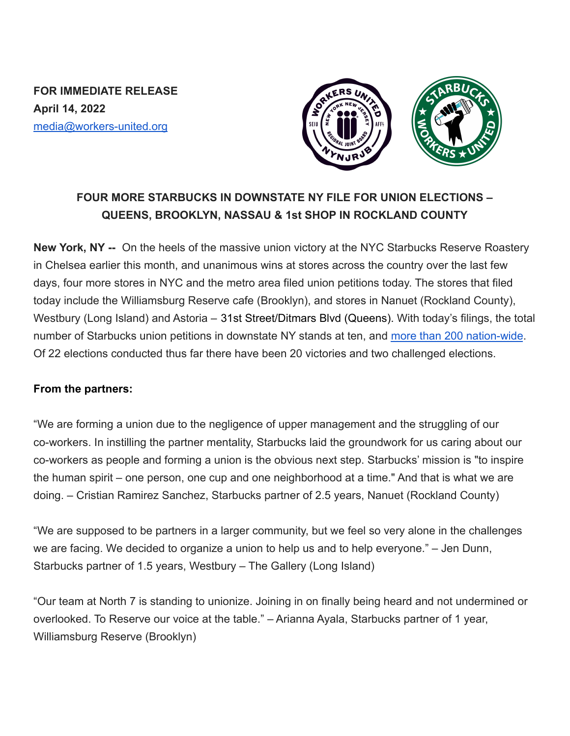**FOR IMMEDIATE RELEASE April 14, 2022** media@workers-united.org



## **FOUR MORE STARBUCKS IN DOWNSTATE NY FILE FOR UNION ELECTIONS – QUEENS, BROOKLYN, NASSAU & 1st SHOP IN ROCKLAND COUNTY**

**New York, NY --** On the heels of the massive union victory at the NYC Starbucks Reserve Roastery in Chelsea earlier this month, and unanimous wins at stores across the country over the last few days, four more stores in NYC and the metro area filed union petitions today. The stores that filed today include the Williamsburg Reserve cafe (Brooklyn), and stores in Nanuet (Rockland County), Westbury (Long Island) and Astoria – 31st Street/Ditmars Blvd (Queens). With today's filings, the total number of Starbucks union petitions in downstate NY stands at ten, and [more than 200 nation-wide](https://perfectunion.us/map-where-are-starbucks-workers-unionizing/). Of 22 elections conducted thus far there have been 20 victories and two challenged elections.

## **From the partners:**

"We are forming a union due to the negligence of upper management and the struggling of our co-workers. In instilling the partner mentality, Starbucks laid the groundwork for us caring about our co-workers as people and forming a union is the obvious next step. Starbucks' mission is "to inspire the human spirit – one person, one cup and one neighborhood at a time." And that is what we are doing. – Cristian Ramirez Sanchez, Starbucks partner of 2.5 years, Nanuet (Rockland County)

"We are supposed to be partners in a larger community, but we feel so very alone in the challenges we are facing. We decided to organize a union to help us and to help everyone." – Jen Dunn, Starbucks partner of 1.5 years, Westbury – The Gallery (Long Island)

"Our team at North 7 is standing to unionize. Joining in on finally being heard and not undermined or overlooked. To Reserve our voice at the table." – Arianna Ayala, Starbucks partner of 1 year, Williamsburg Reserve (Brooklyn)